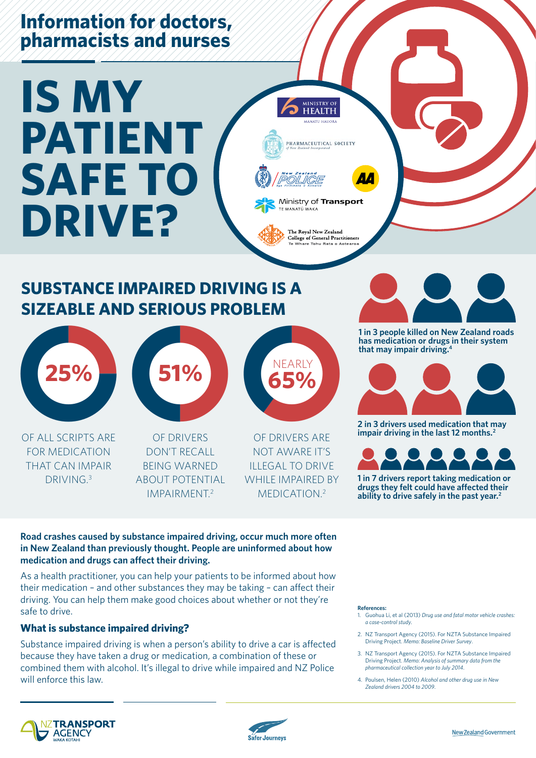## **Information for doctors, pharmacists and nurses**

# **IS MY PATIENT SAFE TO DRIVE?**

## **SUBSTANCE IMPAIRED DRIVING IS A SIZEABLE AND SERIOUS PROBLEM**



OF ALL SCRIPTS ARE FOR MEDICATION THAT CAN IMPAIR DRIVING<sup>3</sup>



OF DRIVERS DON'T RECALL BEING WARNED ABOUT POTENTIAL IMPAIRMENT.2



MINISTRY O **HEALTH** MANATU HAI

PHARMACEUTICAL SOCIETY

Ministry of Transport

The Royal New Zealand College of General Practitioners Whare Tohu Rata

TE MANATŪ WAKA

OF DRIVERS ARE NOT AWARE IT'S ILLEGAL TO DRIVE WHILE IMPAIRED BY MEDICATION.2



**1 in 3 people killed on New Zealand roads has medication or drugs in their system that may impair driving.4**



**2 in 3 drivers used medication that may impair driving in the last 12 months.2**



**1 in 7 drivers report taking medication or drugs they felt could have affected their ability to drive safely in the past year.2**

#### **Road crashes caused by substance impaired driving, occur much more often in New Zealand than previously thought. People are uninformed about how medication and drugs can affect their driving.**

As a health practitioner, you can help your patients to be informed about how their medication – and other substances they may be taking – can affect their driving. You can help them make good choices about whether or not they're safe to drive.

#### **What is substance impaired driving?**

Substance impaired driving is when a person's ability to drive a car is affected because they have taken a drug or medication, a combination of these or combined them with alcohol. It's illegal to drive while impaired and NZ Police will enforce this law.

#### **References:**

- 1. Guohua Li, et al (2013) *Drug use and fatal motor vehicle crashes: a case-control study*.
- 2. NZ Transport Agency (2015). For NZTA Substance Impaired Driving Project. *Memo: Baseline Driver Survey*.
- 3. NZ Transport Agency (2015). For NZTA Substance Impaired Driving Project. *Memo: Analysis of summary data from the pharmaceutical collection year to July 2014*.
- 4. Poulsen, Helen (2010) *Alcohol and other drug use in New Zealand drivers 2004 to 2009*.